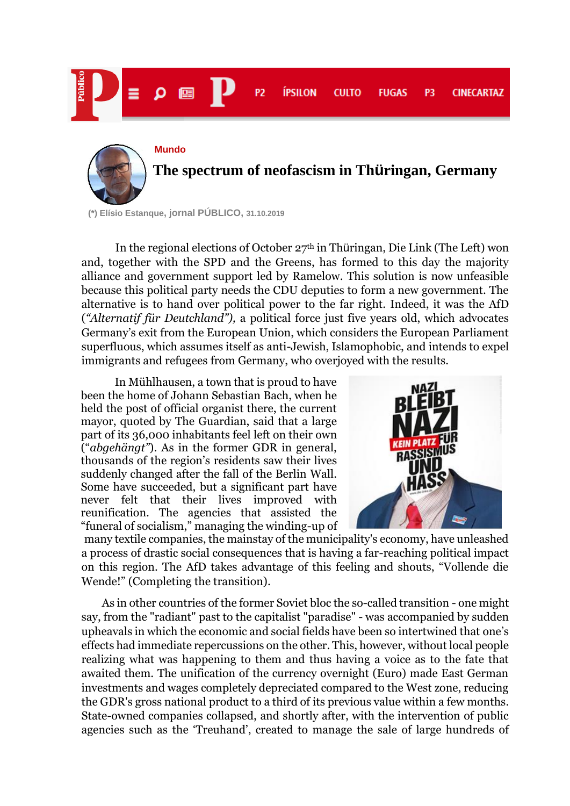

**The spectrum of neofascism in Thüringan, Germany**

**(\*) Elísio Estanque, jornal PÚBLICO, 31.10.2019**

**Mundo**

In the regional elections of October 27th in Thüringan, Die Link (The Left) won and, together with the SPD and the Greens, has formed to this day the majority alliance and government support led by Ramelow. This solution is now unfeasible because this political party needs the CDU deputies to form a new government. The alternative is to hand over political power to the far right. Indeed, it was the AfD (*"Alternatif für Deutchland"),* a political force just five years old, which advocates Germany's exit from the European Union, which considers the European Parliament superfluous, which assumes itself as anti-Jewish, Islamophobic, and intends to expel immigrants and refugees from Germany, who overjoyed with the results.

In Mühlhausen, a town that is proud to have been the home of Johann Sebastian Bach, when he held the post of official organist there, the current mayor, quoted by The Guardian, said that a large part of its 36,000 inhabitants feel left on their own ("*abgehängt"*). As in the former GDR in general, thousands of the region's residents saw their lives suddenly changed after the fall of the Berlin Wall. Some have succeeded, but a significant part have never felt that their lives improved with reunification. The agencies that assisted the "funeral of socialism," managing the winding-up of



many textile companies, the mainstay of the municipality's economy, have unleashed a process of drastic social consequences that is having a far-reaching political impact on this region. The AfD takes advantage of this feeling and shouts, "Vollende die Wende!" (Completing the transition).

As in other countries of the former Soviet bloc the so-called transition - one might say, from the "radiant" past to the capitalist "paradise" - was accompanied by sudden upheavals in which the economic and social fields have been so intertwined that one's effects had immediate repercussions on the other. This, however, without local people realizing what was happening to them and thus having a voice as to the fate that awaited them. The unification of the currency overnight (Euro) made East German investments and wages completely depreciated compared to the West zone, reducing the GDR's gross national product to a third of its previous value within a few months. State-owned companies collapsed, and shortly after, with the intervention of public agencies such as the 'Treuhand', created to manage the sale of large hundreds of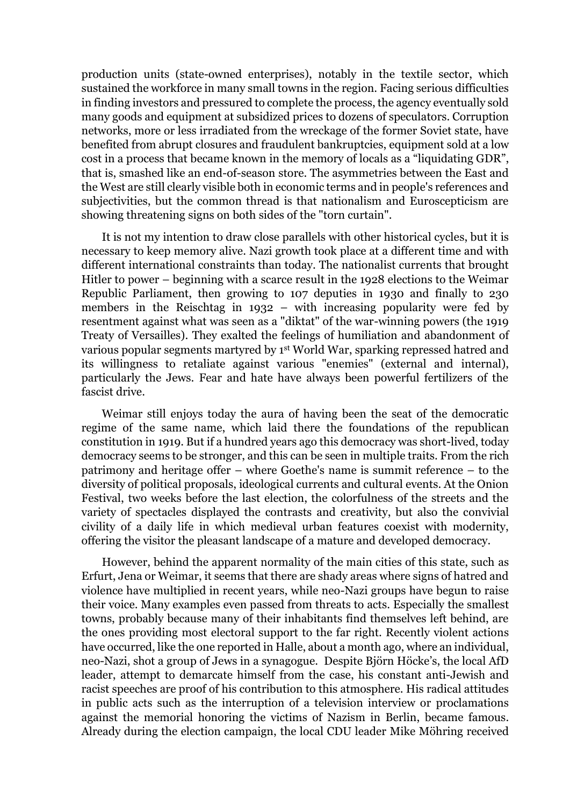production units (state-owned enterprises), notably in the textile sector, which sustained the workforce in many small towns in the region. Facing serious difficulties in finding investors and pressured to complete the process, the agency eventually sold many goods and equipment at subsidized prices to dozens of speculators. Corruption networks, more or less irradiated from the wreckage of the former Soviet state, have benefited from abrupt closures and fraudulent bankruptcies, equipment sold at a low cost in a process that became known in the memory of locals as a "liquidating GDR", that is, smashed like an end-of-season store. The asymmetries between the East and the West are still clearly visible both in economic terms and in people's references and subjectivities, but the common thread is that nationalism and Euroscepticism are showing threatening signs on both sides of the "torn curtain".

It is not my intention to draw close parallels with other historical cycles, but it is necessary to keep memory alive. Nazi growth took place at a different time and with different international constraints than today. The nationalist currents that brought Hitler to power – beginning with a scarce result in the 1928 elections to the Weimar Republic Parliament, then growing to 107 deputies in 1930 and finally to 230 members in the Reischtag in 1932 – with increasing popularity were fed by resentment against what was seen as a "diktat" of the war-winning powers (the 1919 Treaty of Versailles). They exalted the feelings of humiliation and abandonment of various popular segments martyred by 1st World War, sparking repressed hatred and its willingness to retaliate against various "enemies" (external and internal), particularly the Jews. Fear and hate have always been powerful fertilizers of the fascist drive.

Weimar still enjoys today the aura of having been the seat of the democratic regime of the same name, which laid there the foundations of the republican constitution in 1919. But if a hundred years ago this democracy was short-lived, today democracy seems to be stronger, and this can be seen in multiple traits. From the rich patrimony and heritage offer – where Goethe's name is summit reference – to the diversity of political proposals, ideological currents and cultural events. At the Onion Festival, two weeks before the last election, the colorfulness of the streets and the variety of spectacles displayed the contrasts and creativity, but also the convivial civility of a daily life in which medieval urban features coexist with modernity, offering the visitor the pleasant landscape of a mature and developed democracy.

However, behind the apparent normality of the main cities of this state, such as Erfurt, Jena or Weimar, it seems that there are shady areas where signs of hatred and violence have multiplied in recent years, while neo-Nazi groups have begun to raise their voice. Many examples even passed from threats to acts. Especially the smallest towns, probably because many of their inhabitants find themselves left behind, are the ones providing most electoral support to the far right. Recently violent actions have occurred, like the one reported in Halle, about a month ago, where an individual, neo-Nazi, shot a group of Jews in a synagogue. Despite Björn Höcke's, the local AfD leader, attempt to demarcate himself from the case, his constant anti-Jewish and racist speeches are proof of his contribution to this atmosphere. His radical attitudes in public acts such as the interruption of a television interview or proclamations against the memorial honoring the victims of Nazism in Berlin, became famous. Already during the election campaign, the local CDU leader Mike Möhring received